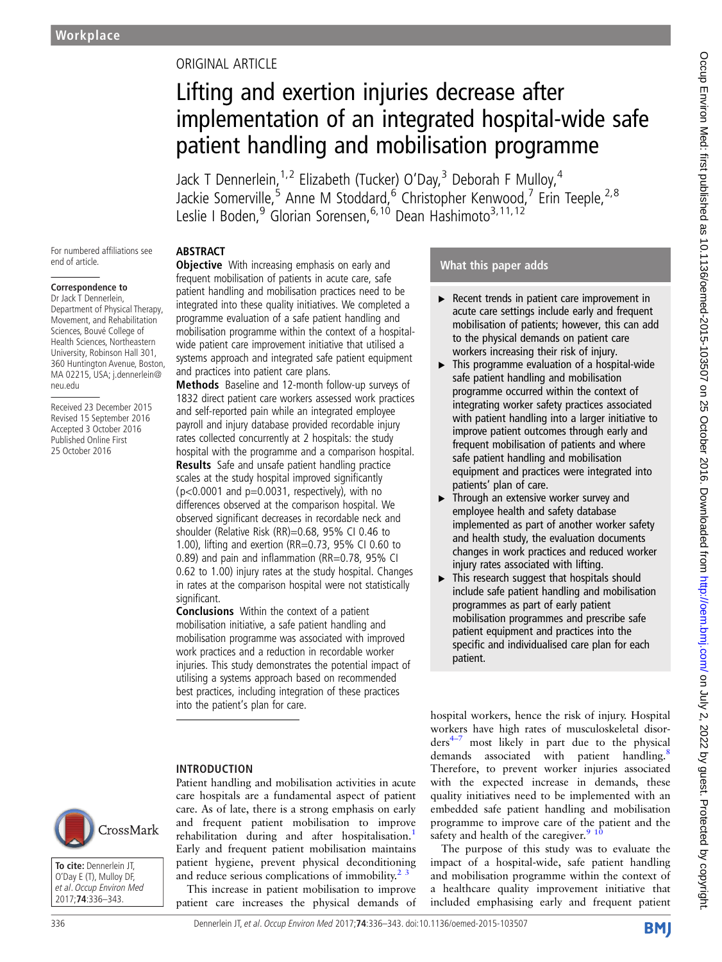## ORIGINAL ARTICLE

# Lifting and exertion injuries decrease after implementation of an integrated hospital-wide safe patient handling and mobilisation programme

Jack T Dennerlein,<sup>1,2</sup> Elizabeth (Tucker) O'Day,<sup>3</sup> Deborah F Mulloy,<sup>4</sup> Jackie Somerville,<sup>5</sup> Anne M Stoddard,<sup>6</sup> Christopher Kenwood,<sup>7</sup> Erin Teeple,<sup>2,8</sup> Leslie I Boden,<sup>9</sup> Glorian Sorensen,<sup>6,10</sup> Dean Hashimoto<sup>3,11,12</sup>

## ABSTRACT

For numbered affiliations see end of article.

#### **Correspondence to**

Dr Jack T Dennerlein, Department of Physical Therapy, Movement, and Rehabilitation Sciences, Bouvé College of Health Sciences, Northeastern University, Robinson Hall 301, 360 Huntington Avenue, Boston, MA 02215, USA; j.dennerlein@ neu.edu

Received 23 December 2015 Revised 15 September 2016 Accepted 3 October 2016 Published Online First 25 October 2016

**Objective** With increasing emphasis on early and frequent mobilisation of patients in acute care, safe patient handling and mobilisation practices need to be integrated into these quality initiatives. We completed a programme evaluation of a safe patient handling and mobilisation programme within the context of a hospitalwide patient care improvement initiative that utilised a systems approach and integrated safe patient equipment and practices into patient care plans.

Methods Baseline and 12-month follow-up surveys of 1832 direct patient care workers assessed work practices and self-reported pain while an integrated employee payroll and injury database provided recordable injury rates collected concurrently at 2 hospitals: the study hospital with the programme and a comparison hospital. Results Safe and unsafe patient handling practice scales at the study hospital improved significantly  $(p<0.0001$  and  $p=0.0031$ , respectively), with no differences observed at the comparison hospital. We observed significant decreases in recordable neck and shoulder (Relative Risk (RR)=0.68, 95% CI 0.46 to 1.00), lifting and exertion (RR=0.73, 95% CI 0.60 to 0.89) and pain and inflammation (RR=0.78, 95% CI 0.62 to 1.00) injury rates at the study hospital. Changes in rates at the comparison hospital were not statistically significant.

Conclusions Within the context of a patient mobilisation initiative, a safe patient handling and mobilisation programme was associated with improved work practices and a reduction in recordable worker injuries. This study demonstrates the potential impact of utilising a systems approach based on recommended best practices, including integration of these practices into the patient's plan for care.

## INTRODUCTION

CrossMark

**To cite:** Dennerlein JT, O'Day E (T), Mulloy DF, et al. Occup Environ Med 2017;**74**:336–343.

Patient handling and mobilisation activities in acute care hospitals are a fundamental aspect of patient care. As of late, there is a strong emphasis on early and frequent patient mobilisation to improve rehabilitation during and after hospitalisation.<sup>[1](#page-7-0)</sup> Early and frequent patient mobilisation maintains patient hygiene, prevent physical deconditioning and reduce serious complications of immobility. $2<sup>3</sup>$ 

This increase in patient mobilisation to improve patient care increases the physical demands of

## What this paper adds

- ▸ Recent trends in patient care improvement in acute care settings include early and frequent mobilisation of patients; however, this can add to the physical demands on patient care workers increasing their risk of injury.
- ▸ This programme evaluation of a hospital-wide safe patient handling and mobilisation programme occurred within the context of integrating worker safety practices associated with patient handling into a larger initiative to improve patient outcomes through early and frequent mobilisation of patients and where safe patient handling and mobilisation equipment and practices were integrated into patients' plan of care.
- ▸ Through an extensive worker survey and employee health and safety database implemented as part of another worker safety and health study, the evaluation documents changes in work practices and reduced worker injury rates associated with lifting.
- ▸ This research suggest that hospitals should include safe patient handling and mobilisation programmes as part of early patient mobilisation programmes and prescribe safe patient equipment and practices into the specific and individualised care plan for each patient.

hospital workers, hence the risk of injury. Hospital workers have high rates of musculoskeletal disor $ders<sup>4-7</sup>$  most likely in part due to the physical demands associated with patient handling.<sup>[8](#page-7-0)</sup> Therefore, to prevent worker injuries associated with the expected increase in demands, these quality initiatives need to be implemented with an embedded safe patient handling and mobilisation programme to improve care of the patient and the safety and health of the caregiver. $910$ 

The purpose of this study was to evaluate the impact of a hospital-wide, safe patient handling and mobilisation programme within the context of a healthcare quality improvement initiative that included emphasising early and frequent patient

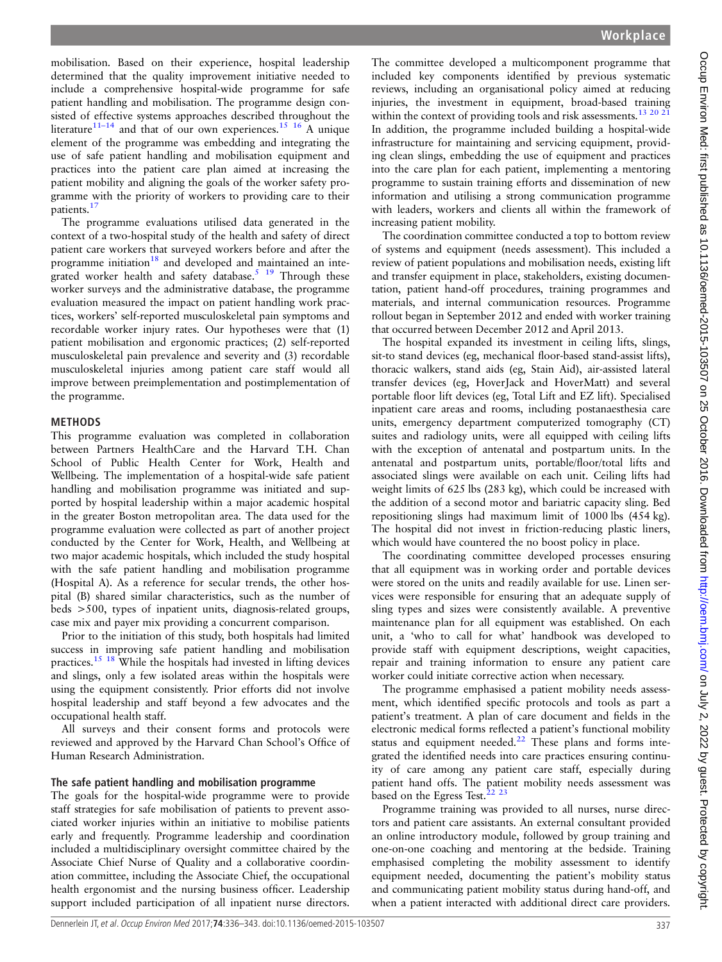mobilisation. Based on their experience, hospital leadership determined that the quality improvement initiative needed to include a comprehensive hospital-wide programme for safe patient handling and mobilisation. The programme design consisted of effective systems approaches described throughout the literature<sup>[11](#page-7-0)–14</sup> and that of our own experiences.<sup>15 16</sup> A unique element of the programme was embedding and integrating the use of safe patient handling and mobilisation equipment and practices into the patient care plan aimed at increasing the patient mobility and aligning the goals of the worker safety programme with the priority of workers to providing care to their patients.[17](#page-7-0)

The programme evaluations utilised data generated in the context of a two-hospital study of the health and safety of direct patient care workers that surveyed workers before and after the programme initiation $18$  and developed and maintained an integrated worker health and safety database.<sup>5</sup> <sup>19</sup> Through these worker surveys and the administrative database, the programme evaluation measured the impact on patient handling work practices, workers' self-reported musculoskeletal pain symptoms and recordable worker injury rates. Our hypotheses were that (1) patient mobilisation and ergonomic practices; (2) self-reported musculoskeletal pain prevalence and severity and (3) recordable musculoskeletal injuries among patient care staff would all improve between preimplementation and postimplementation of the programme.

## **METHODS**

This programme evaluation was completed in collaboration between Partners HealthCare and the Harvard T.H. Chan School of Public Health Center for Work, Health and Wellbeing. The implementation of a hospital-wide safe patient handling and mobilisation programme was initiated and supported by hospital leadership within a major academic hospital in the greater Boston metropolitan area. The data used for the programme evaluation were collected as part of another project conducted by the Center for Work, Health, and Wellbeing at two major academic hospitals, which included the study hospital with the safe patient handling and mobilisation programme (Hospital A). As a reference for secular trends, the other hospital (B) shared similar characteristics, such as the number of beds >500, types of inpatient units, diagnosis-related groups, case mix and payer mix providing a concurrent comparison.

Prior to the initiation of this study, both hospitals had limited success in improving safe patient handling and mobilisation practices[.15 18](#page-7-0) While the hospitals had invested in lifting devices and slings, only a few isolated areas within the hospitals were using the equipment consistently. Prior efforts did not involve hospital leadership and staff beyond a few advocates and the occupational health staff.

All surveys and their consent forms and protocols were reviewed and approved by the Harvard Chan School's Office of Human Research Administration.

## The safe patient handling and mobilisation programme

The goals for the hospital-wide programme were to provide staff strategies for safe mobilisation of patients to prevent associated worker injuries within an initiative to mobilise patients early and frequently. Programme leadership and coordination included a multidisciplinary oversight committee chaired by the Associate Chief Nurse of Quality and a collaborative coordination committee, including the Associate Chief, the occupational health ergonomist and the nursing business officer. Leadership support included participation of all inpatient nurse directors.

The committee developed a multicomponent programme that included key components identified by previous systematic reviews, including an organisational policy aimed at reducing injuries, the investment in equipment, broad-based training within the context of providing tools and risk assessments.<sup>13</sup> 20<sup>21</sup> In addition, the programme included building a hospital-wide infrastructure for maintaining and servicing equipment, providing clean slings, embedding the use of equipment and practices into the care plan for each patient, implementing a mentoring programme to sustain training efforts and dissemination of new information and utilising a strong communication programme with leaders, workers and clients all within the framework of increasing patient mobility.

The coordination committee conducted a top to bottom review of systems and equipment (needs assessment). This included a review of patient populations and mobilisation needs, existing lift and transfer equipment in place, stakeholders, existing documentation, patient hand-off procedures, training programmes and materials, and internal communication resources. Programme rollout began in September 2012 and ended with worker training that occurred between December 2012 and April 2013.

The hospital expanded its investment in ceiling lifts, slings, sit-to stand devices (eg, mechanical floor-based stand-assist lifts), thoracic walkers, stand aids (eg, Stain Aid), air-assisted lateral transfer devices (eg, HoverJack and HoverMatt) and several portable floor lift devices (eg, Total Lift and EZ lift). Specialised inpatient care areas and rooms, including postanaesthesia care units, emergency department computerized tomography (CT) suites and radiology units, were all equipped with ceiling lifts with the exception of antenatal and postpartum units. In the antenatal and postpartum units, portable/floor/total lifts and associated slings were available on each unit. Ceiling lifts had weight limits of 625 lbs (283 kg), which could be increased with the addition of a second motor and bariatric capacity sling. Bed repositioning slings had maximum limit of 1000 lbs (454 kg). The hospital did not invest in friction-reducing plastic liners, which would have countered the no boost policy in place.

The coordinating committee developed processes ensuring that all equipment was in working order and portable devices were stored on the units and readily available for use. Linen services were responsible for ensuring that an adequate supply of sling types and sizes were consistently available. A preventive maintenance plan for all equipment was established. On each unit, a 'who to call for what' handbook was developed to provide staff with equipment descriptions, weight capacities, repair and training information to ensure any patient care worker could initiate corrective action when necessary.

The programme emphasised a patient mobility needs assessment, which identified specific protocols and tools as part a patient's treatment. A plan of care document and fields in the electronic medical forms reflected a patient's functional mobility status and equipment needed. $22$  These plans and forms integrated the identified needs into care practices ensuring continuity of care among any patient care staff, especially during patient hand offs. The patient mobility needs assessment was based on the Egress Test.<sup>2</sup>

Programme training was provided to all nurses, nurse directors and patient care assistants. An external consultant provided an online introductory module, followed by group training and one-on-one coaching and mentoring at the bedside. Training emphasised completing the mobility assessment to identify equipment needed, documenting the patient's mobility status and communicating patient mobility status during hand-off, and when a patient interacted with additional direct care providers.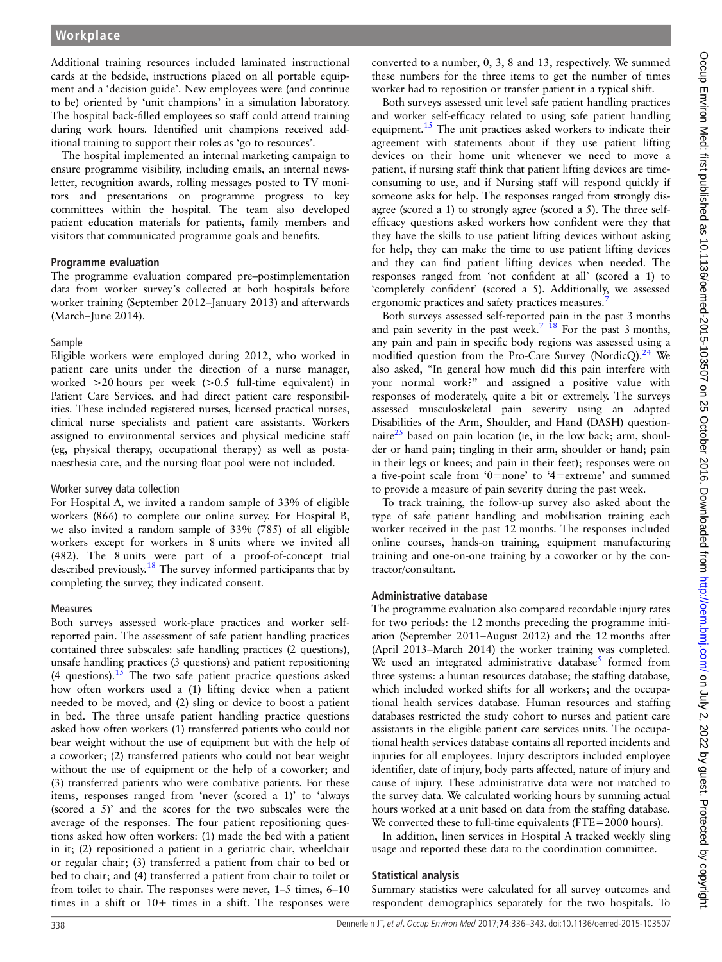Additional training resources included laminated instructional cards at the bedside, instructions placed on all portable equipment and a 'decision guide'. New employees were (and continue to be) oriented by 'unit champions' in a simulation laboratory. The hospital back-filled employees so staff could attend training during work hours. Identified unit champions received additional training to support their roles as 'go to resources'.

The hospital implemented an internal marketing campaign to ensure programme visibility, including emails, an internal newsletter, recognition awards, rolling messages posted to TV monitors and presentations on programme progress to key committees within the hospital. The team also developed patient education materials for patients, family members and visitors that communicated programme goals and benefits.

#### Programme evaluation

The programme evaluation compared pre–postimplementation data from worker survey's collected at both hospitals before worker training (September 2012–January 2013) and afterwards (March–June 2014).

#### Sample

Eligible workers were employed during 2012, who worked in patient care units under the direction of a nurse manager, worked >20 hours per week (>0.5 full-time equivalent) in Patient Care Services, and had direct patient care responsibilities. These included registered nurses, licensed practical nurses, clinical nurse specialists and patient care assistants. Workers assigned to environmental services and physical medicine staff (eg, physical therapy, occupational therapy) as well as postanaesthesia care, and the nursing float pool were not included.

#### Worker survey data collection

For Hospital A, we invited a random sample of 33% of eligible workers (866) to complete our online survey. For Hospital B, we also invited a random sample of 33% (785) of all eligible workers except for workers in 8 units where we invited all (482). The 8 units were part of a proof-of-concept trial described previously.[18](#page-7-0) The survey informed participants that by completing the survey, they indicated consent.

#### Measures

Both surveys assessed work-place practices and worker selfreported pain. The assessment of safe patient handling practices contained three subscales: safe handling practices (2 questions), unsafe handling practices (3 questions) and patient repositioning  $(4 \text{ questions})$ .<sup>[15](#page-7-0)</sup> The two safe patient practice questions asked how often workers used a (1) lifting device when a patient needed to be moved, and (2) sling or device to boost a patient in bed. The three unsafe patient handling practice questions asked how often workers (1) transferred patients who could not bear weight without the use of equipment but with the help of a coworker; (2) transferred patients who could not bear weight without the use of equipment or the help of a coworker; and (3) transferred patients who were combative patients. For these items, responses ranged from 'never (scored a 1)' to 'always (scored a 5)' and the scores for the two subscales were the average of the responses. The four patient repositioning questions asked how often workers: (1) made the bed with a patient in it; (2) repositioned a patient in a geriatric chair, wheelchair or regular chair; (3) transferred a patient from chair to bed or bed to chair; and (4) transferred a patient from chair to toilet or from toilet to chair. The responses were never, 1–5 times, 6–10 times in a shift or 10+ times in a shift. The responses were

converted to a number, 0, 3, 8 and 13, respectively. We summed these numbers for the three items to get the number of times worker had to reposition or transfer patient in a typical shift.

Both surveys assessed unit level safe patient handling practices and worker self-efficacy related to using safe patient handling equipment.<sup>[15](#page-7-0)</sup> The unit practices asked workers to indicate their agreement with statements about if they use patient lifting devices on their home unit whenever we need to move a patient, if nursing staff think that patient lifting devices are timeconsuming to use, and if Nursing staff will respond quickly if someone asks for help. The responses ranged from strongly disagree (scored a 1) to strongly agree (scored a 5). The three selfefficacy questions asked workers how confident were they that they have the skills to use patient lifting devices without asking for help, they can make the time to use patient lifting devices and they can find patient lifting devices when needed. The responses ranged from 'not confident at all' (scored a 1) to 'completely confident' (scored a 5). Additionally, we assessed ergonomic practices and safety practices measures.<sup>[7](#page-7-0)</sup>

Both surveys assessed self-reported pain in the past 3 months and pain severity in the past week.<sup>7</sup> <sup>18</sup> For the past 3 months, any pain and pain in specific body regions was assessed using a modified question from the Pro-Care Survey (NordicQ).<sup>[24](#page-7-0)</sup> We also asked, "In general how much did this pain interfere with your normal work?" and assigned a positive value with responses of moderately, quite a bit or extremely. The surveys assessed musculoskeletal pain severity using an adapted Disabilities of the Arm, Shoulder, and Hand (DASH) question-naire<sup>[25](#page-7-0)</sup> based on pain location (ie, in the low back; arm, shoulder or hand pain; tingling in their arm, shoulder or hand; pain in their legs or knees; and pain in their feet); responses were on a five-point scale from '0=none' to '4=extreme' and summed to provide a measure of pain severity during the past week.

To track training, the follow-up survey also asked about the type of safe patient handling and mobilisation training each worker received in the past 12 months. The responses included online courses, hands-on training, equipment manufacturing training and one-on-one training by a coworker or by the contractor/consultant.

## Administrative database

The programme evaluation also compared recordable injury rates for two periods: the 12 months preceding the programme initiation (September 2011–August 2012) and the 12 months after (April 2013–March 2014) the worker training was completed. We used an integrated administrative database<sup>[5](#page-7-0)</sup> formed from three systems: a human resources database; the staffing database, which included worked shifts for all workers; and the occupational health services database. Human resources and staffing databases restricted the study cohort to nurses and patient care assistants in the eligible patient care services units. The occupational health services database contains all reported incidents and injuries for all employees. Injury descriptors included employee identifier, date of injury, body parts affected, nature of injury and cause of injury. These administrative data were not matched to the survey data. We calculated working hours by summing actual hours worked at a unit based on data from the staffing database. We converted these to full-time equivalents (FTE=2000 hours).

In addition, linen services in Hospital A tracked weekly sling usage and reported these data to the coordination committee.

## Statistical analysis

Summary statistics were calculated for all survey outcomes and respondent demographics separately for the two hospitals. To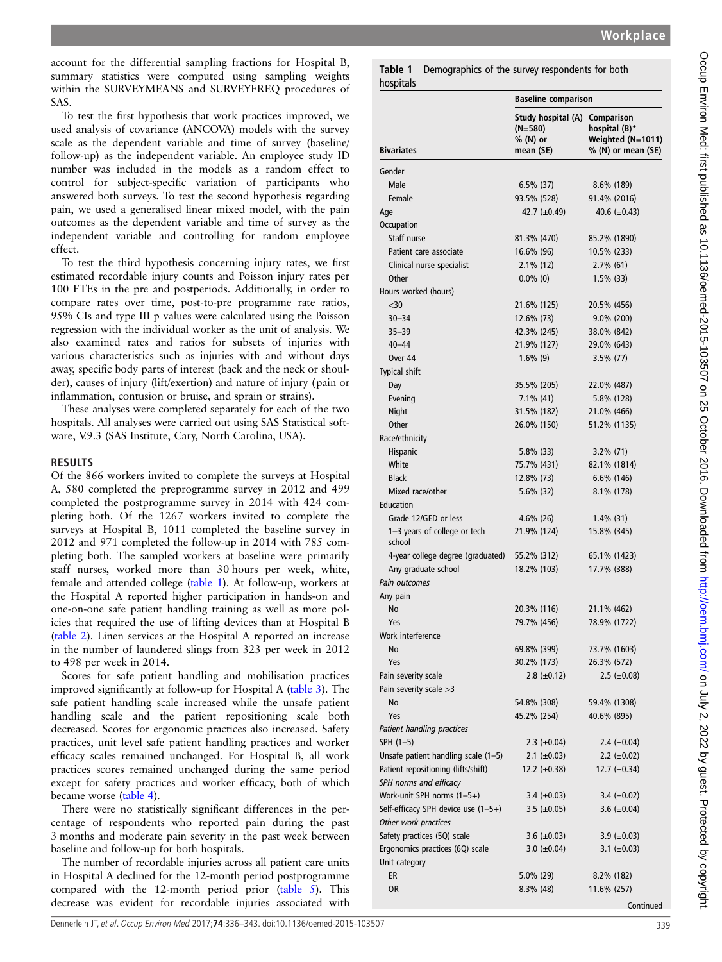<span id="page-3-0"></span>account for the differential sampling fractions for Hospital B, summary statistics were computed using sampling weights within the SURVEYMEANS and SURVEYFREQ procedures of SAS.

To test the first hypothesis that work practices improved, we used analysis of covariance (ANCOVA) models with the survey scale as the dependent variable and time of survey (baseline/ follow-up) as the independent variable. An employee study ID number was included in the models as a random effect to control for subject-specific variation of participants who answered both surveys. To test the second hypothesis regarding pain, we used a generalised linear mixed model, with the pain outcomes as the dependent variable and time of survey as the independent variable and controlling for random employee effect.

To test the third hypothesis concerning injury rates, we first estimated recordable injury counts and Poisson injury rates per 100 FTEs in the pre and postperiods. Additionally, in order to compare rates over time, post-to-pre programme rate ratios, 95% CIs and type III p values were calculated using the Poisson regression with the individual worker as the unit of analysis. We also examined rates and ratios for subsets of injuries with various characteristics such as injuries with and without days away, specific body parts of interest (back and the neck or shoulder), causes of injury (lift/exertion) and nature of injury (pain or inflammation, contusion or bruise, and sprain or strains).

These analyses were completed separately for each of the two hospitals. All analyses were carried out using SAS Statistical software, V.9.3 (SAS Institute, Cary, North Carolina, USA).

#### RESULTS

Of the 866 workers invited to complete the surveys at Hospital A, 580 completed the preprogramme survey in 2012 and 499 completed the postprogramme survey in 2014 with 424 completing both. Of the 1267 workers invited to complete the surveys at Hospital B, 1011 completed the baseline survey in 2012 and 971 completed the follow-up in 2014 with 785 completing both. The sampled workers at baseline were primarily staff nurses, worked more than 30 hours per week, white, female and attended college (table 1). At follow-up, workers at the Hospital A reported higher participation in hands-on and one-on-one safe patient handling training as well as more policies that required the use of lifting devices than at Hospital B ([table 2\)](#page-4-0). Linen services at the Hospital A reported an increase in the number of laundered slings from 323 per week in 2012 to 498 per week in 2014.

Scores for safe patient handling and mobilisation practices improved significantly at follow-up for Hospital A [\(table 3](#page-5-0)). The safe patient handling scale increased while the unsafe patient handling scale and the patient repositioning scale both decreased. Scores for ergonomic practices also increased. Safety practices, unit level safe patient handling practices and worker efficacy scales remained unchanged. For Hospital B, all work practices scores remained unchanged during the same period except for safety practices and worker efficacy, both of which became worse [\(table 4\)](#page-5-0).

There were no statistically significant differences in the percentage of respondents who reported pain during the past 3 months and moderate pain severity in the past week between baseline and follow-up for both hospitals.

The number of recordable injuries across all patient care units in Hospital A declined for the 12-month period postprogramme compared with the 12-month period prior [\(table 5](#page-6-0)). This decrease was evident for recordable injuries associated with

|                                        | <b>Baseline comparison</b>                                          |                                                          |  |  |  |  |
|----------------------------------------|---------------------------------------------------------------------|----------------------------------------------------------|--|--|--|--|
| <b>Bivariates</b>                      | Study hospital (A) Comparison<br>$(N=580)$<br>% (N) or<br>mean (SE) | hospital (B)*<br>Weighted (N=1011)<br>% (N) or mean (SE) |  |  |  |  |
| Gender                                 |                                                                     |                                                          |  |  |  |  |
| Male                                   | $6.5\%$ (37)                                                        | $8.6\%$ (189)                                            |  |  |  |  |
| Female                                 | 93.5% (528)                                                         | 91.4% (2016)                                             |  |  |  |  |
| Age                                    | 42.7 $(\pm 0.49)$                                                   | 40.6 $(\pm 0.43)$                                        |  |  |  |  |
| Occupation                             |                                                                     |                                                          |  |  |  |  |
| Staff nurse                            | 81.3% (470)                                                         | 85.2% (1890)                                             |  |  |  |  |
| Patient care associate                 | $16.6\%$ (96)                                                       | 10.5% (233)                                              |  |  |  |  |
| Clinical nurse specialist              | $2.1\%$ (12)                                                        | $2.7\%$ (61)                                             |  |  |  |  |
| Other                                  | $0.0\%$ (0)                                                         | $1.5\%$ (33)                                             |  |  |  |  |
| Hours worked (hours)                   |                                                                     |                                                          |  |  |  |  |
| $30$                                   | 21.6% (125)                                                         | 20.5% (456)                                              |  |  |  |  |
| $30 - 34$                              | $12.6\%$ (73)                                                       | $9.0\%$ (200)                                            |  |  |  |  |
| $35 - 39$                              | 42.3% (245)                                                         | 38.0% (842)                                              |  |  |  |  |
| $40 - 44$                              | 21.9% (127)                                                         | 29.0% (643)                                              |  |  |  |  |
| Over 44                                | $1.6\%$ (9)                                                         | $3.5\%$ (77)                                             |  |  |  |  |
| <b>Typical shift</b>                   |                                                                     |                                                          |  |  |  |  |
| Day                                    | 35.5% (205)                                                         | 22.0% (487)                                              |  |  |  |  |
| Evening                                | $7.1\%$ (41)                                                        | 5.8% (128)                                               |  |  |  |  |
| Night                                  | 31.5% (182)                                                         | 21.0% (466)                                              |  |  |  |  |
| Other                                  | 26.0% (150)                                                         | 51.2% (1135)                                             |  |  |  |  |
| Race/ethnicity                         |                                                                     |                                                          |  |  |  |  |
| Hispanic                               | $5.8\%$ (33)                                                        | $3.2\%$ (71)                                             |  |  |  |  |
| White                                  | 75.7% (431)                                                         | 82.1% (1814)                                             |  |  |  |  |
| <b>Black</b>                           | 12.8% (73)                                                          | $6.6\%$ (146)                                            |  |  |  |  |
| Mixed race/other                       | $5.6\%$ (32)                                                        | $8.1\%$ (178)                                            |  |  |  |  |
| Education                              |                                                                     |                                                          |  |  |  |  |
| Grade 12/GED or less                   | $4.6\%$ (26)                                                        | $1.4\%$ (31)                                             |  |  |  |  |
| 1-3 years of college or tech<br>school | 21.9% (124)                                                         | 15.8% (345)                                              |  |  |  |  |
| 4-year college degree (graduated)      | 55.2% (312)                                                         | 65.1% (1423)                                             |  |  |  |  |
| Any graduate school                    | 18.2% (103)                                                         | 17.7% (388)                                              |  |  |  |  |
| Pain outcomes                          |                                                                     |                                                          |  |  |  |  |
| Any pain                               |                                                                     |                                                          |  |  |  |  |
| No                                     | 20.3% (116)                                                         | 21.1% (462)                                              |  |  |  |  |
| Yes                                    | 79.7% (456)                                                         | 78.9% (1722)                                             |  |  |  |  |
| Work interference                      |                                                                     |                                                          |  |  |  |  |
| No                                     | 69.8% (399)                                                         | 73.7% (1603)                                             |  |  |  |  |
| Yes                                    | 30.2% (173)                                                         | 26.3% (572)                                              |  |  |  |  |
| Pain severity scale                    | $2.8 \ (\pm 0.12)$                                                  | $2.5 \ (\pm 0.08)$                                       |  |  |  |  |
| Pain severity scale >3                 |                                                                     |                                                          |  |  |  |  |
| No<br>Yes                              | 54.8% (308)<br>45.2% (254)                                          | 59.4% (1308)                                             |  |  |  |  |
| Patient handling practices             |                                                                     | 40.6% (895)                                              |  |  |  |  |
| $SPH (1-5)$                            | 2.3 $(\pm 0.04)$                                                    | 2.4 $(\pm 0.04)$                                         |  |  |  |  |
| Unsafe patient handling scale (1-5)    | 2.1 ( $\pm 0.03$ )                                                  | 2.2 $(\pm 0.02)$                                         |  |  |  |  |
| Patient repositioning (lifts/shift)    | 12.2 $(\pm 0.38)$                                                   | 12.7 $(\pm 0.34)$                                        |  |  |  |  |
| SPH norms and efficacy                 |                                                                     |                                                          |  |  |  |  |
| Work-unit SPH norms (1-5+)             | 3.4 $(\pm 0.03)$                                                    | 3.4 $(\pm 0.02)$                                         |  |  |  |  |
| Self-efficacy SPH device use (1-5+)    | 3.5 $(\pm 0.05)$                                                    | 3.6 $(\pm 0.04)$                                         |  |  |  |  |
| Other work practices                   |                                                                     |                                                          |  |  |  |  |
| Safety practices (5Q) scale            | 3.6 $(\pm 0.03)$                                                    | 3.9 $(\pm 0.03)$                                         |  |  |  |  |
| Ergonomics practices (6Q) scale        | 3.0 $(\pm 0.04)$                                                    | 3.1 $(\pm 0.03)$                                         |  |  |  |  |
| Unit category                          |                                                                     |                                                          |  |  |  |  |
| ER                                     | $5.0\%$ (29)                                                        | $8.2\%$ (182)                                            |  |  |  |  |
| OR                                     | $8.3\%$ (48)                                                        | 11.6% (257)                                              |  |  |  |  |
|                                        |                                                                     | Continued                                                |  |  |  |  |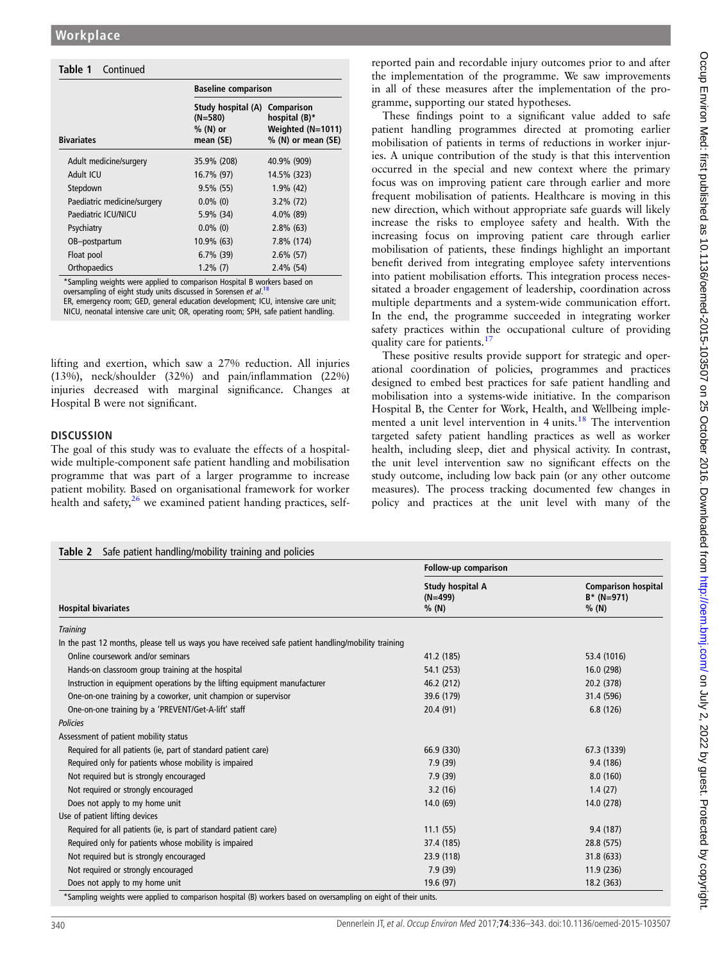## <span id="page-4-0"></span>Table 1 Continued

|                             | <b>Baseline comparison</b>                                          |                                                            |  |  |  |  |
|-----------------------------|---------------------------------------------------------------------|------------------------------------------------------------|--|--|--|--|
| <b>Bivariates</b>           | Study hospital (A) Comparison<br>$(N=580)$<br>% (N) or<br>mean (SE) | hospital (B)*<br>Weighted $(N=1011)$<br>% (N) or mean (SE) |  |  |  |  |
| Adult medicine/surgery      | 35.9% (208)                                                         | 40.9% (909)                                                |  |  |  |  |
| Adult ICU                   | 16.7% (97)                                                          | 14.5% (323)                                                |  |  |  |  |
| Stepdown                    | $9.5\%$ (55)                                                        | $1.9\%$ (42)                                               |  |  |  |  |
| Paediatric medicine/surgery | $0.0\%$ (0)                                                         | $3.2\%$ (72)                                               |  |  |  |  |
| Paediatric ICU/NICU         | $5.9\%$ (34)                                                        | 4.0% (89)                                                  |  |  |  |  |
| Psychiatry                  | $0.0\%$ (0)                                                         | $2.8\%$ (63)                                               |  |  |  |  |
| OB-postpartum               | $10.9\%$ (63)                                                       | 7.8% (174)                                                 |  |  |  |  |
| Float pool                  | $6.7\%$ (39)                                                        | $2.6\%$ (57)                                               |  |  |  |  |
| Orthopaedics                | $1.2\%$ (7)                                                         | $2.4\%$ (54)                                               |  |  |  |  |

\*Sampling weights were applied to comparison Hospital B workers based on

oversampling of eight study units discussed in Sorensen et al.<sup>[18](#page-7-0)</sup> ER, emergency room; GED, general education development; ICU, intensive care unit;

NICU, neonatal intensive care unit; OR, operating room; SPH, safe patient handling.

lifting and exertion, which saw a 27% reduction. All injuries (13%), neck/shoulder (32%) and pain/inflammation (22%) injuries decreased with marginal significance. Changes at Hospital B were not significant.

#### **DISCUSSION**

The goal of this study was to evaluate the effects of a hospitalwide multiple-component safe patient handling and mobilisation programme that was part of a larger programme to increase patient mobility. Based on organisational framework for worker health and safety,<sup>26</sup> we examined patient handing practices, self-

reported pain and recordable injury outcomes prior to and after the implementation of the programme. We saw improvements in all of these measures after the implementation of the programme, supporting our stated hypotheses.

These findings point to a significant value added to safe patient handling programmes directed at promoting earlier mobilisation of patients in terms of reductions in worker injuries. A unique contribution of the study is that this intervention occurred in the special and new context where the primary focus was on improving patient care through earlier and more frequent mobilisation of patients. Healthcare is moving in this new direction, which without appropriate safe guards will likely increase the risks to employee safety and health. With the increasing focus on improving patient care through earlier mobilisation of patients, these findings highlight an important benefit derived from integrating employee safety interventions into patient mobilisation efforts. This integration process necessitated a broader engagement of leadership, coordination across multiple departments and a system-wide communication effort. In the end, the programme succeeded in integrating worker safety practices within the occupational culture of providing quality care for patients.<sup>[17](#page-7-0)</sup>

These positive results provide support for strategic and operational coordination of policies, programmes and practices designed to embed best practices for safe patient handling and mobilisation into a systems-wide initiative. In the comparison Hospital B, the Center for Work, Health, and Wellbeing imple-mented a unit level intervention in 4 units.<sup>[18](#page-7-0)</sup> The intervention targeted safety patient handling practices as well as worker health, including sleep, diet and physical activity. In contrast, the unit level intervention saw no significant effects on the study outcome, including low back pain (or any other outcome measures). The process tracking documented few changes in policy and practices at the unit level with many of the

|                                                                                                      | Follow-up comparison                   |                                                     |  |  |  |
|------------------------------------------------------------------------------------------------------|----------------------------------------|-----------------------------------------------------|--|--|--|
| <b>Hospital bivariates</b>                                                                           | Study hospital A<br>$(N=499)$<br>% (N) | <b>Comparison hospital</b><br>$B*$ (N=971)<br>% (N) |  |  |  |
| Training                                                                                             |                                        |                                                     |  |  |  |
| In the past 12 months, please tell us ways you have received safe patient handling/mobility training |                                        |                                                     |  |  |  |
| Online coursework and/or seminars                                                                    | 41.2 (185)                             | 53.4 (1016)                                         |  |  |  |
| Hands-on classroom group training at the hospital                                                    | 54.1 (253)                             | 16.0 (298)                                          |  |  |  |
| Instruction in equipment operations by the lifting equipment manufacturer                            | 46.2 (212)                             | 20.2 (378)                                          |  |  |  |
| One-on-one training by a coworker, unit champion or supervisor                                       | 39.6 (179)                             | 31.4 (596)                                          |  |  |  |
| One-on-one training by a 'PREVENT/Get-A-lift' staff                                                  | 20.4(91)                               | 6.8(126)                                            |  |  |  |
| <b>Policies</b>                                                                                      |                                        |                                                     |  |  |  |
| Assessment of patient mobility status                                                                |                                        |                                                     |  |  |  |
| Required for all patients (ie, part of standard patient care)                                        | 66.9 (330)                             | 67.3 (1339)                                         |  |  |  |
| Required only for patients whose mobility is impaired                                                | 7.9(39)                                | 9.4(186)                                            |  |  |  |
| Not required but is strongly encouraged                                                              | 7.9(39)                                | 8.0(160)                                            |  |  |  |
| Not required or strongly encouraged                                                                  | 3.2(16)                                | 1.4(27)                                             |  |  |  |
| Does not apply to my home unit                                                                       | 14.0 (69)                              | 14.0 (278)                                          |  |  |  |
| Use of patient lifting devices                                                                       |                                        |                                                     |  |  |  |
| Required for all patients (ie, is part of standard patient care)                                     | 11.1(55)                               | 9.4(187)                                            |  |  |  |
| Required only for patients whose mobility is impaired                                                | 37.4 (185)                             | 28.8 (575)                                          |  |  |  |
| Not required but is strongly encouraged                                                              | 23.9 (118)                             | 31.8 (633)                                          |  |  |  |
| Not required or strongly encouraged                                                                  | 7.9(39)                                | 11.9(236)                                           |  |  |  |
| Does not apply to my home unit                                                                       | 19.6 (97)                              | 18.2 (363)                                          |  |  |  |

\*Sampling weights were applied to comparison hospital (B) workers based on oversampling on eight of their units.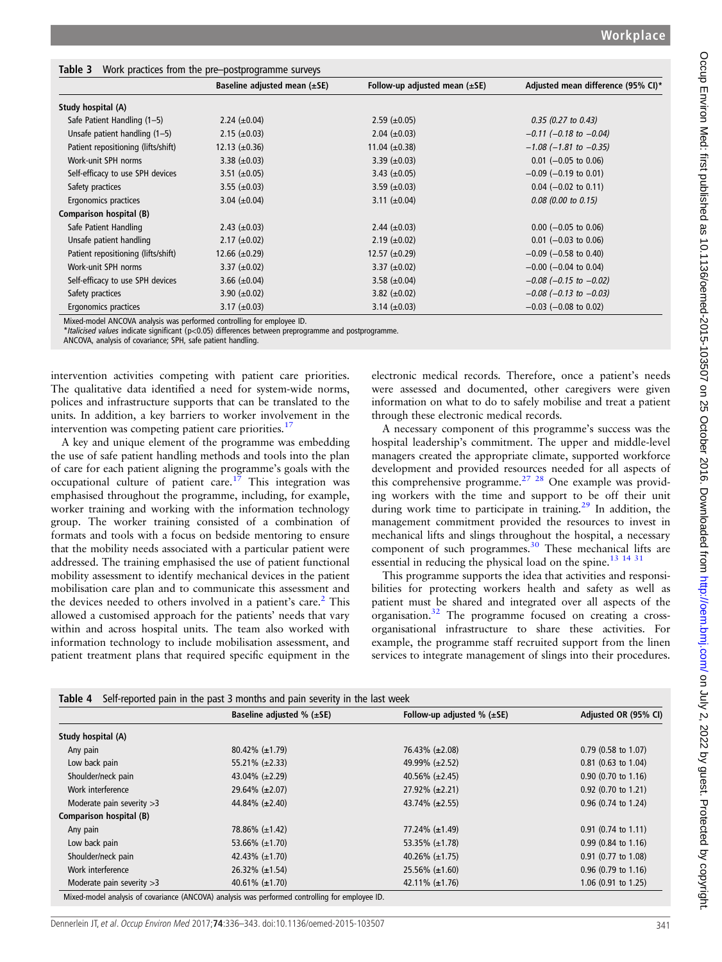<span id="page-5-0"></span>

|                                     | Baseline adjusted mean $(\pm SE)$ | Follow-up adjusted mean $(\pm 5E)$ | Adjusted mean difference (95% CI)* |
|-------------------------------------|-----------------------------------|------------------------------------|------------------------------------|
| Study hospital (A)                  |                                   |                                    |                                    |
| Safe Patient Handling (1-5)         | 2.24 $(\pm 0.04)$                 | $2.59 \ (\pm 0.05)$                | $0.35$ (0.27 to 0.43)              |
| Unsafe patient handling $(1-5)$     | $2.15 \ (\pm 0.03)$               | $2.04 \ (\pm 0.03)$                | $-0.11$ ( $-0.18$ to $-0.04$ )     |
| Patient repositioning (lifts/shift) | $12.13 \ (\pm 0.36)$              | 11.04 $(\pm 0.38)$                 | $-1.08$ ( $-1.81$ to $-0.35$ )     |
| Work-unit SPH norms                 | 3.38 $(\pm 0.03)$                 | 3.39 $(\pm 0.03)$                  | $0.01$ (-0.05 to 0.06)             |
| Self-efficacy to use SPH devices    | 3.51 $(\pm 0.05)$                 | 3.43 $(\pm 0.05)$                  | $-0.09$ ( $-0.19$ to 0.01)         |
| Safety practices                    | 3.55 $(\pm 0.03)$                 | 3.59 $(\pm 0.03)$                  | $0.04$ (-0.02 to 0.11)             |
| Ergonomics practices                | 3.04 $(\pm 0.04)$                 | 3.11 $(\pm 0.04)$                  | $0.08$ (0.00 to 0.15)              |
| Comparison hospital (B)             |                                   |                                    |                                    |
| Safe Patient Handling               | 2.43 $(\pm 0.03)$                 | 2.44 $(\pm 0.03)$                  | $0.00$ (-0.05 to 0.06)             |
| Unsafe patient handling             | $2.17 \ (\pm 0.02)$               | $2.19 \ (\pm 0.02)$                | $0.01$ (-0.03 to 0.06)             |
| Patient repositioning (lifts/shift) | 12.66 $(\pm 0.29)$                | 12.57 $(\pm 0.29)$                 | $-0.09$ ( $-0.58$ to 0.40)         |
| Work-unit SPH norms                 | 3.37 $(\pm 0.02)$                 | 3.37 $(\pm 0.02)$                  | $-0.00$ ( $-0.04$ to 0.04)         |
| Self-efficacy to use SPH devices    | 3.66 $(\pm 0.04)$                 | 3.58 $(\pm 0.04)$                  | $-0.08$ ( $-0.15$ to $-0.02$ )     |
| Safety practices                    | 3.90 $(\pm 0.02)$                 | 3.82 $(\pm 0.02)$                  | $-0.08$ ( $-0.13$ to $-0.03$ )     |
| Ergonomics practices                | 3.17 $(\pm 0.03)$                 | 3.14 $(\pm 0.03)$                  | $-0.03$ ( $-0.08$ to 0.02)         |

Mixed-model ANCOVA analysis was performed controlling for employee ID.

\*Italicised values indicate significant (p<0.05) differences between preprogramme and postprogramme.

ANCOVA, analysis of covariance; SPH, safe patient handling.

intervention activities competing with patient care priorities. The qualitative data identified a need for system-wide norms, polices and infrastructure supports that can be translated to the units. In addition, a key barriers to worker involvement in the intervention was competing patient care priorities.<sup>[17](#page-7-0)</sup>

A key and unique element of the programme was embedding the use of safe patient handling methods and tools into the plan of care for each patient aligning the programme's goals with the occupational culture of patient care.<sup>[17](#page-7-0)</sup> This integration was emphasised throughout the programme, including, for example, worker training and working with the information technology group. The worker training consisted of a combination of formats and tools with a focus on bedside mentoring to ensure that the mobility needs associated with a particular patient were addressed. The training emphasised the use of patient functional mobility assessment to identify mechanical devices in the patient mobilisation care plan and to communicate this assessment and the devices needed to others involved in a patient's care.<sup>[2](#page-7-0)</sup> This allowed a customised approach for the patients' needs that vary within and across hospital units. The team also worked with information technology to include mobilisation assessment, and patient treatment plans that required specific equipment in the

electronic medical records. Therefore, once a patient's needs were assessed and documented, other caregivers were given information on what to do to safely mobilise and treat a patient through these electronic medical records.

A necessary component of this programme's success was the hospital leadership's commitment. The upper and middle-level managers created the appropriate climate, supported workforce development and provided resources needed for all aspects of this comprehensive programme.<sup>27</sup> <sup>28</sup> One example was providing workers with the time and support to be off their unit during work time to participate in training.<sup>[29](#page-7-0)</sup> In addition, the management commitment provided the resources to invest in mechanical lifts and slings throughout the hospital, a necessary component of such programmes. $30$  These mechanical lifts are essential in reducing the physical load on the spine.<sup>13</sup> <sup>14</sup> <sup>31</sup>

This programme supports the idea that activities and responsibilities for protecting workers health and safety as well as patient must be shared and integrated over all aspects of the organisation.[32](#page-7-0) The programme focused on creating a crossorganisational infrastructure to share these activities. For example, the programme staff recruited support from the linen services to integrate management of slings into their procedures.

|                                | Baseline adjusted $% (\pm SE)$ | Follow-up adjusted % $(\pm SE)$ | Adjusted OR (95% CI)  |
|--------------------------------|--------------------------------|---------------------------------|-----------------------|
| Study hospital (A)             |                                |                                 |                       |
| Any pain                       | $80.42\%$ ( $\pm$ 1.79)        | 76.43% (±2.08)                  | 0.79 (0.58 to 1.07)   |
| Low back pain                  | 55.21% $(\pm 2.33)$            | 49.99% $(\pm 2.52)$             | $0.81$ (0.63 to 1.04) |
| Shoulder/neck pain             | 43.04% $(\pm 2.29)$            | 40.56% $(\pm 2.45)$             | 0.90 (0.70 to 1.16)   |
| Work interference              | 29.64% (±2.07)                 | $27.92\%$ (±2.21)               | 0.92 (0.70 to 1.21)   |
| Moderate pain severity $>3$    | 44.84% $(\pm 2.40)$            | $43.74\%$ ( $\pm 2.55$ )        | 0.96 (0.74 to 1.24)   |
| <b>Comparison hospital (B)</b> |                                |                                 |                       |
| Any pain                       | 78.86% (±1.42)                 | $77.24\%$ ( $\pm$ 1.49)         | 0.91 (0.74 to 1.11)   |
| Low back pain                  | 53.66% $(\pm 1.70)$            | 53.35% $(\pm 1.78)$             | 0.99 (0.84 to 1.16)   |
| Shoulder/neck pain             | 42.43% $(\pm 1.70)$            | 40.26% $(\pm 1.75)$             | 0.91 (0.77 to 1.08)   |
| Work interference              | $26.32\%$ ( $\pm$ 1.54)        | $25.56\%$ (±1.60)               | 0.96 (0.79 to 1.16)   |
| Moderate pain severity $>3$    | 40.61% $(\pm 1.70)$            | $42.11\%$ ( $\pm$ 1.76)         | 1.06 (0.91 to 1.25)   |

Mixed-model analysis of covariance (ANCOVA) analysis was performed controlling for employee ID.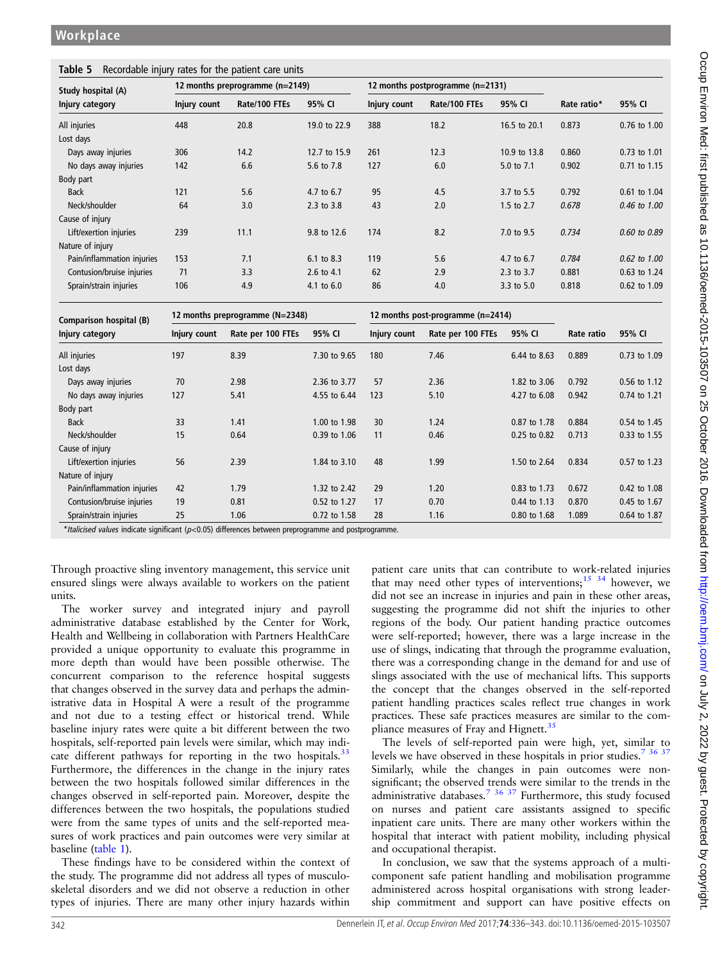<span id="page-6-0"></span>

|  | Table 5 Recordable injury rates for the patient care units |  |  |  |  |  |  |  |
|--|------------------------------------------------------------|--|--|--|--|--|--|--|
|--|------------------------------------------------------------|--|--|--|--|--|--|--|

| Study hospital (A)         |              | 12 months preprogramme $(n=2149)$ |              |              | 12 months postprogramme (n=2131) |              |             |                  |
|----------------------------|--------------|-----------------------------------|--------------|--------------|----------------------------------|--------------|-------------|------------------|
| Injury category            | Injury count | Rate/100 FTEs                     | 95% CI       | Injury count | Rate/100 FTEs                    | 95% CI       | Rate ratio* | 95% CI           |
| All injuries               | 448          | 20.8                              | 19.0 to 22.9 | 388          | 18.2                             | 16.5 to 20.1 | 0.873       | 0.76 to 1.00     |
| Lost days                  |              |                                   |              |              |                                  |              |             |                  |
| Days away injuries         | 306          | 14.2                              | 12.7 to 15.9 | 261          | 12.3                             | 10.9 to 13.8 | 0.860       | 0.73 to 1.01     |
| No days away injuries      | 142          | 6.6                               | 5.6 to 7.8   | 127          | 6.0                              | 5.0 to 7.1   | 0.902       | 0.71 to 1.15     |
| Body part                  |              |                                   |              |              |                                  |              |             |                  |
| <b>Back</b>                | 121          | 5.6                               | 4.7 to 6.7   | 95           | 4.5                              | 3.7 to 5.5   | 0.792       | 0.61 to 1.04     |
| Neck/shoulder              | 64           | 3.0                               | 2.3 to 3.8   | 43           | 2.0                              | 1.5 to 2.7   | 0.678       | 0.46 to 1.00     |
| Cause of injury            |              |                                   |              |              |                                  |              |             |                  |
| Lift/exertion injuries     | 239          | 11.1                              | 9.8 to 12.6  | 174          | 8.2                              | 7.0 to 9.5   | 0.734       | 0.60 to 0.89     |
| Nature of injury           |              |                                   |              |              |                                  |              |             |                  |
| Pain/inflammation injuries | 153          | 7.1                               | 6.1 to 8.3   | 119          | 5.6                              | 4.7 to 6.7   | 0.784       | $0.62$ to $1.00$ |
| Contusion/bruise injuries  | 71           | 3.3                               | 2.6 to 4.1   | 62           | 2.9                              | 2.3 to 3.7   | 0.881       | 0.63 to 1.24     |
| Sprain/strain injuries     | 106          | 4.9                               | 4.1 to 6.0   | 86           | 4.0                              | 3.3 to 5.0   | 0.818       | 0.62 to 1.09     |

| Comparison hospital (B)    |              | 12 months preprogramme (N=2348) |              |              | 12 months post-programme (n=2414) |              |            |              |
|----------------------------|--------------|---------------------------------|--------------|--------------|-----------------------------------|--------------|------------|--------------|
| Injury category            | Injury count | Rate per 100 FTEs               | 95% CI       | Injury count | Rate per 100 FTEs                 | 95% CI       | Rate ratio | 95% CI       |
| All injuries               | 197          | 8.39                            | 7.30 to 9.65 | 180          | 7.46                              | 6.44 to 8.63 | 0.889      | 0.73 to 1.09 |
| Lost days                  |              |                                 |              |              |                                   |              |            |              |
| Days away injuries         | 70           | 2.98                            | 2.36 to 3.77 | 57           | 2.36                              | 1.82 to 3.06 | 0.792      | 0.56 to 1.12 |
| No days away injuries      | 127          | 5.41                            | 4.55 to 6.44 | 123          | 5.10                              | 4.27 to 6.08 | 0.942      | 0.74 to 1.21 |
| Body part                  |              |                                 |              |              |                                   |              |            |              |
| <b>Back</b>                | 33           | 1.41                            | 1.00 to 1.98 | 30           | 1.24                              | 0.87 to 1.78 | 0.884      | 0.54 to 1.45 |
| Neck/shoulder              | 15           | 0.64                            | 0.39 to 1.06 | 11           | 0.46                              | 0.25 to 0.82 | 0.713      | 0.33 to 1.55 |
| Cause of injury            |              |                                 |              |              |                                   |              |            |              |
| Lift/exertion injuries     | 56           | 2.39                            | 1.84 to 3.10 | 48           | 1.99                              | 1.50 to 2.64 | 0.834      | 0.57 to 1.23 |
| Nature of injury           |              |                                 |              |              |                                   |              |            |              |
| Pain/inflammation injuries | 42           | 1.79                            | 1.32 to 2.42 | 29           | 1.20                              | 0.83 to 1.73 | 0.672      | 0.42 to 1.08 |
| Contusion/bruise injuries  | 19           | 0.81                            | 0.52 to 1.27 | 17           | 0.70                              | 0.44 to 1.13 | 0.870      | 0.45 to 1.67 |
| Sprain/strain injuries     | 25           | 1.06                            | 0.72 to 1.58 | 28           | 1.16                              | 0.80 to 1.68 | 1.089      | 0.64 to 1.87 |

talicised values indicate significant ( $p<0.05$ ) differences between preprogramme and postprogramme

Through proactive sling inventory management, this service unit ensured slings were always available to workers on the patient units.

The worker survey and integrated injury and payroll administrative database established by the Center for Work, Health and Wellbeing in collaboration with Partners HealthCare provided a unique opportunity to evaluate this programme in more depth than would have been possible otherwise. The concurrent comparison to the reference hospital suggests that changes observed in the survey data and perhaps the administrative data in Hospital A were a result of the programme and not due to a testing effect or historical trend. While baseline injury rates were quite a bit different between the two hospitals, self-reported pain levels were similar, which may indi-cate different pathways for reporting in the two hospitals.<sup>[33](#page-7-0)</sup> Furthermore, the differences in the change in the injury rates between the two hospitals followed similar differences in the changes observed in self-reported pain. Moreover, despite the differences between the two hospitals, the populations studied were from the same types of units and the self-reported measures of work practices and pain outcomes were very similar at baseline ([table 1\)](#page-3-0).

These findings have to be considered within the context of the study. The programme did not address all types of musculoskeletal disorders and we did not observe a reduction in other types of injuries. There are many other injury hazards within

patient care units that can contribute to work-related injuries that may need other types of interventions;  $15 \frac{34}{15}$  however, we did not see an increase in injuries and pain in these other areas, suggesting the programme did not shift the injuries to other regions of the body. Our patient handing practice outcomes were self-reported; however, there was a large increase in the use of slings, indicating that through the programme evaluation, there was a corresponding change in the demand for and use of slings associated with the use of mechanical lifts. This supports the concept that the changes observed in the self-reported patient handling practices scales reflect true changes in work practices. These safe practices measures are similar to the com-pliance measures of Fray and Hignett.<sup>[35](#page-7-0)</sup>

The levels of self-reported pain were high, yet, similar to levels we have observed in these hospitals in prior studies.<sup>7</sup> <sup>36</sup> <sup>37</sup> Similarly, while the changes in pain outcomes were nonsignificant; the observed trends were similar to the trends in the administrative databases.<sup>[7 36 37](#page-7-0)</sup> Furthermore, this study focused on nurses and patient care assistants assigned to specific inpatient care units. There are many other workers within the hospital that interact with patient mobility, including physical and occupational therapist.

In conclusion, we saw that the systems approach of a multicomponent safe patient handling and mobilisation programme administered across hospital organisations with strong leadership commitment and support can have positive effects on